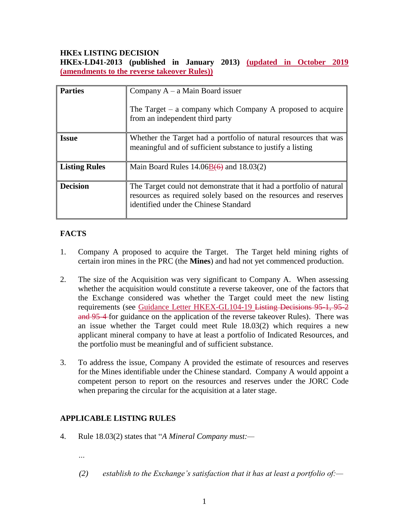## **HKEx LISTING DECISION**

**HKEx-LD41-2013 (published in January 2013) (updated in October 2019 (amendments to the reverse takeover Rules))**

| <b>Parties</b>       | Company $A - a$ Main Board issuer                                                                                                                                                |
|----------------------|----------------------------------------------------------------------------------------------------------------------------------------------------------------------------------|
|                      | The Target $-$ a company which Company A proposed to acquire<br>from an independent third party                                                                                  |
| <b>Issue</b>         | Whether the Target had a portfolio of natural resources that was<br>meaningful and of sufficient substance to justify a listing                                                  |
| <b>Listing Rules</b> | Main Board Rules $14.06B(6)$ and $18.03(2)$                                                                                                                                      |
| <b>Decision</b>      | The Target could not demonstrate that it had a portfolio of natural<br>resources as required solely based on the resources and reserves<br>identified under the Chinese Standard |

# **FACTS**

- 1. Company A proposed to acquire the Target. The Target held mining rights of certain iron mines in the PRC (the **Mines**) and had not yet commenced production.
- 2. The size of the Acquisition was very significant to Company A. When assessing whether the acquisition would constitute a reverse takeover, one of the factors that the Exchange considered was whether the Target could meet the new listing requirements (see Guidance Letter HKEX-GL104-19 Listing Decisions 95-1, 95-2 and 95-4 for guidance on the application of the reverse takeover Rules). There was an issue whether the Target could meet Rule 18.03(2) which requires a new applicant mineral company to have at least a portfolio of Indicated Resources, and the portfolio must be meaningful and of sufficient substance.
- 3. To address the issue, Company A provided the estimate of resources and reserves for the Mines identifiable under the Chinese standard. Company A would appoint a competent person to report on the resources and reserves under the JORC Code when preparing the circular for the acquisition at a later stage.

# **APPLICABLE LISTING RULES**

- 4. Rule 18.03(2) states that "*A Mineral Company must:—*
	- *…*
	- *(2) establish to the Exchange's satisfaction that it has at least a portfolio of:—*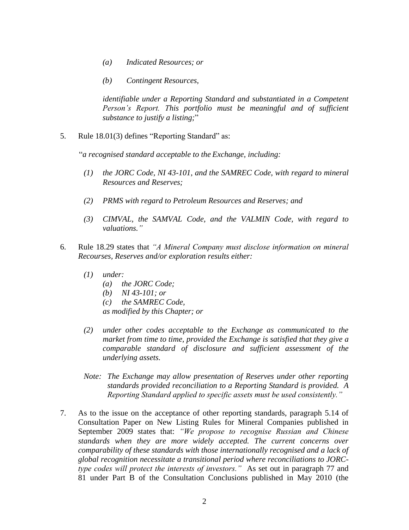- *(a) Indicated Resources; or*
- *(b) Contingent Resources,*

*identifiable under a Reporting Standard and substantiated in a Competent Person's Report. This portfolio must be meaningful and of sufficient substance to justify a listing;*"

5. Rule 18.01(3) defines "Reporting Standard" as:

"*a recognised standard acceptable to the Exchange, including:*

- *(1) the JORC Code, NI 43-101, and the SAMREC Code, with regard to mineral Resources and Reserves;*
- *(2) PRMS with regard to Petroleum Resources and Reserves; and*
- *(3) CIMVAL, the SAMVAL Code, and the VALMIN Code, with regard to valuations."*
- 6. Rule 18.29 states that *"A Mineral Company must disclose information on mineral Recourses, Reserves and/or exploration results either:*
	- *(1) under:*
		- *(a) the JORC Code;*
		- *(b) NI 43-101; or*
		- *(c) the SAMREC Code,*

*as modified by this Chapter; or*

- *(2) under other codes acceptable to the Exchange as communicated to the market from time to time, provided the Exchange is satisfied that they give a comparable standard of disclosure and sufficient assessment of the underlying assets.*
- *Note: The Exchange may allow presentation of Reserves under other reporting standards provided reconciliation to a Reporting Standard is provided. A Reporting Standard applied to specific assets must be used consistently."*
- 7. As to the issue on the acceptance of other reporting standards, paragraph 5.14 of Consultation Paper on New Listing Rules for Mineral Companies published in September 2009 states that: *"We propose to recognise Russian and Chinese standards when they are more widely accepted. The current concerns over comparability of these standards with those internationally recognised and a lack of global recognition necessitate a transitional period where reconciliations to JORCtype codes will protect the interests of investors."* As set out in paragraph 77 and 81 under Part B of the Consultation Conclusions published in May 2010 (the